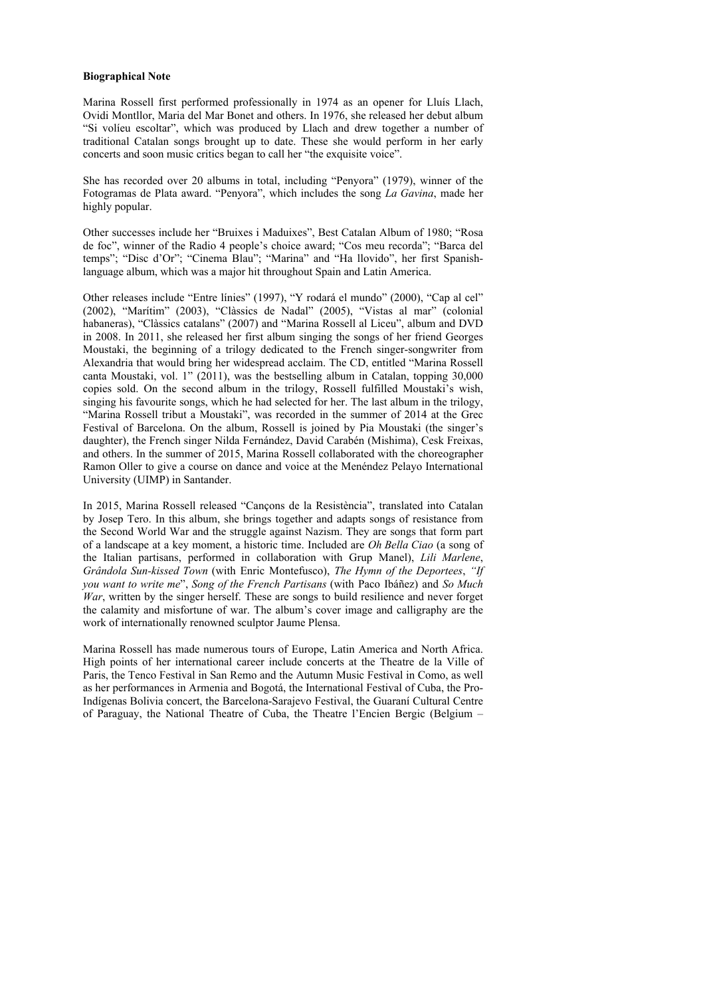# **Biographical Note**

Marina Rossell first performed professionally in 1974 as an opener for Lluís Llach, Ovidi Montllor, Maria del Mar Bonet and others. In 1976, she released her debut album "Si volíeu escoltar", which was produced by Llach and drew together a number of traditional Catalan songs brought up to date. These she would perform in her early concerts and soon music critics began to call her "the exquisite voice".

She has recorded over 20 albums in total, including "Penyora" (1979), winner of the Fotogramas de Plata award. "Penyora", which includes the song *La Gavina*, made her highly popular.

Other successes include her "Bruixes i Maduixes", Best Catalan Album of 1980; "Rosa de foc", winner of the Radio 4 people's choice award; "Cos meu recorda"; "Barca del temps"; "Disc d'Or"; "Cinema Blau"; "Marina" and "Ha llovido", her first Spanishlanguage album, which was a major hit throughout Spain and Latin America.

Other releases include "Entre línies" (1997), "Y rodará el mundo" (2000), "Cap al cel" (2002), "Marítim" (2003), "Clàssics de Nadal" (2005), "Vistas al mar" (colonial habaneras), "Clàssics catalans" (2007) and "Marina Rossell al Liceu", album and DVD in 2008. In 2011, she released her first album singing the songs of her friend Georges Moustaki, the beginning of a trilogy dedicated to the French singer-songwriter from Alexandria that would bring her widespread acclaim. The CD, entitled "Marina Rossell canta Moustaki, vol. 1" (2011), was the bestselling album in Catalan, topping 30,000 copies sold. On the second album in the trilogy, Rossell fulfilled Moustaki's wish, singing his favourite songs, which he had selected for her. The last album in the trilogy, "Marina Rossell tribut a Moustaki", was recorded in the summer of 2014 at the Grec Festival of Barcelona. On the album, Rossell is joined by Pia Moustaki (the singer's daughter), the French singer Nilda Fernández, David Carabén (Mishima), Cesk Freixas, and others. In the summer of 2015, Marina Rossell collaborated with the choreographer Ramon Oller to give a course on dance and voice at the Menéndez Pelayo International University (UIMP) in Santander.

In 2015, Marina Rossell released "Cançons de la Resistència", translated into Catalan by Josep Tero. In this album, she brings together and adapts songs of resistance from the Second World War and the struggle against Nazism. They are songs that form part of a landscape at a key moment, a historic time. Included are *Oh Bella Ciao* (a song of the Italian partisans, performed in collaboration with Grup Manel), *Lili Marlene*, *Grândola Sun-kissed Town* (with Enric Montefusco), *The Hymn of the Deportees*, *"If you want to write me*", *Song of the French Partisans* (with Paco Ibáñez) and *So Much War*, written by the singer herself. These are songs to build resilience and never forget the calamity and misfortune of war. The album's cover image and calligraphy are the work of internationally renowned sculptor Jaume Plensa.

Marina Rossell has made numerous tours of Europe, Latin America and North Africa. High points of her international career include concerts at the Theatre de la Ville of Paris, the Tenco Festival in San Remo and the Autumn Music Festival in Como, as well as her performances in Armenia and Bogotá, the International Festival of Cuba, the Pro-Indígenas Bolivia concert, the Barcelona-Sarajevo Festival, the Guaraní Cultural Centre of Paraguay, the National Theatre of Cuba, the Theatre l'Encien Bergic (Belgium –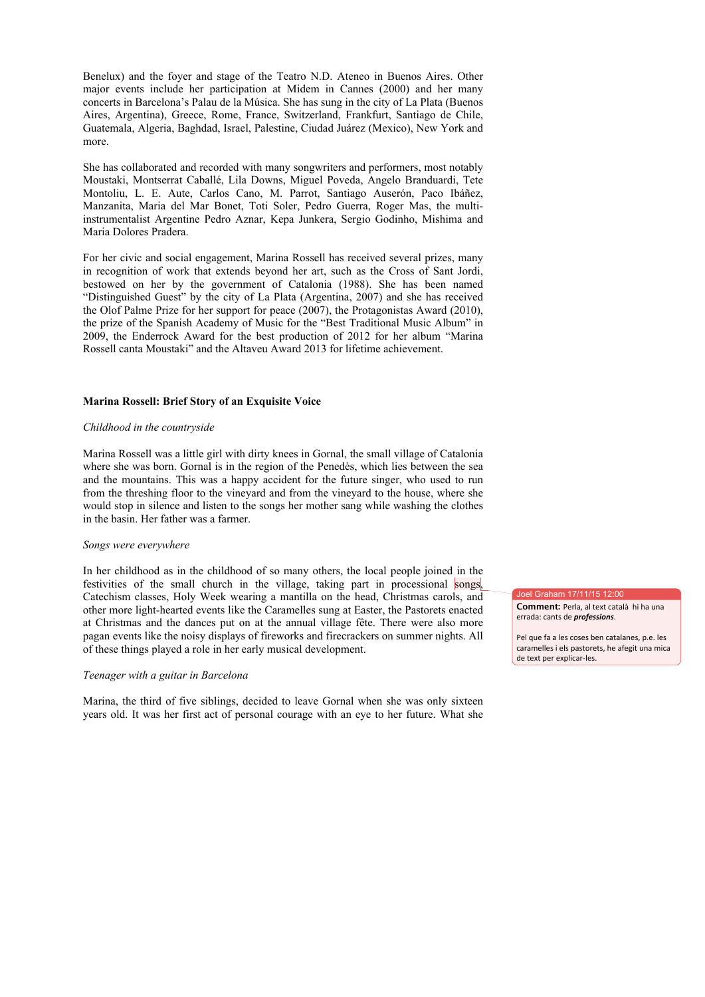Benelux) and the foyer and stage of the Teatro N.D. Ateneo in Buenos Aires. Other major events include her participation at Midem in Cannes (2000) and her many concerts in Barcelona's Palau de la Música. She has sung in the city of La Plata (Buenos Aires, Argentina), Greece, Rome, France, Switzerland, Frankfurt, Santiago de Chile, Guatemala, Algeria, Baghdad, Israel, Palestine, Ciudad Juárez (Mexico), New York and more.

She has collaborated and recorded with many songwriters and performers, most notably Moustaki, Montserrat Caballé, Lila Downs, Miguel Poveda, Angelo Branduardi, Tete Montoliu, L. E. Aute, Carlos Cano, M. Parrot, Santiago Auserón, Paco Ibáñez, Manzanita, Maria del Mar Bonet, Toti Soler, Pedro Guerra, Roger Mas, the multiinstrumentalist Argentine Pedro Aznar, Kepa Junkera, Sergio Godinho, Mishima and Maria Dolores Pradera.

For her civic and social engagement, Marina Rossell has received several prizes, many in recognition of work that extends beyond her art, such as the Cross of Sant Jordi, bestowed on her by the government of Catalonia (1988). She has been named "Distinguished Guest" by the city of La Plata (Argentina, 2007) and she has received the Olof Palme Prize for her support for peace (2007), the Protagonistas Award (2010), the prize of the Spanish Academy of Music for the "Best Traditional Music Album" in 2009, the Enderrock Award for the best production of 2012 for her album "Marina Rossell canta Moustaki" and the Altaveu Award 2013 for lifetime achievement.

# **Marina Rossell: Brief Story of an Exquisite Voice**

#### *Childhood in the countryside*

Marina Rossell was a little girl with dirty knees in Gornal, the small village of Catalonia where she was born. Gornal is in the region of the Penedès, which lies between the sea and the mountains. This was a happy accident for the future singer, who used to run from the threshing floor to the vineyard and from the vineyard to the house, where she would stop in silence and listen to the songs her mother sang while washing the clothes in the basin. Her father was a farmer.

### *Songs were everywhere*

In her childhood as in the childhood of so many others, the local people joined in the festivities of the small church in the village, taking part in processional songs, Catechism classes, Holy Week wearing a mantilla on the head, Christmas carols, and other more light-hearted events like the Caramelles sung at Easter, the Pastorets enacted at Christmas and the dances put on at the annual village fête. There were also more pagan events like the noisy displays of fireworks and firecrackers on summer nights. All of these things played a role in her early musical development.

### *Teenager with a guitar in Barcelona*

Marina, the third of five siblings, decided to leave Gornal when she was only sixteen years old. It was her first act of personal courage with an eye to her future. What she Joel Graham 17/11/15 12:00

**Comment:** Perla, al text català hi ha una errada: cants de *professions*.

Pel que fa a les coses ben catalanes, p.e. les caramelles i els pastorets, he afegit una mica de text per explicar-les.